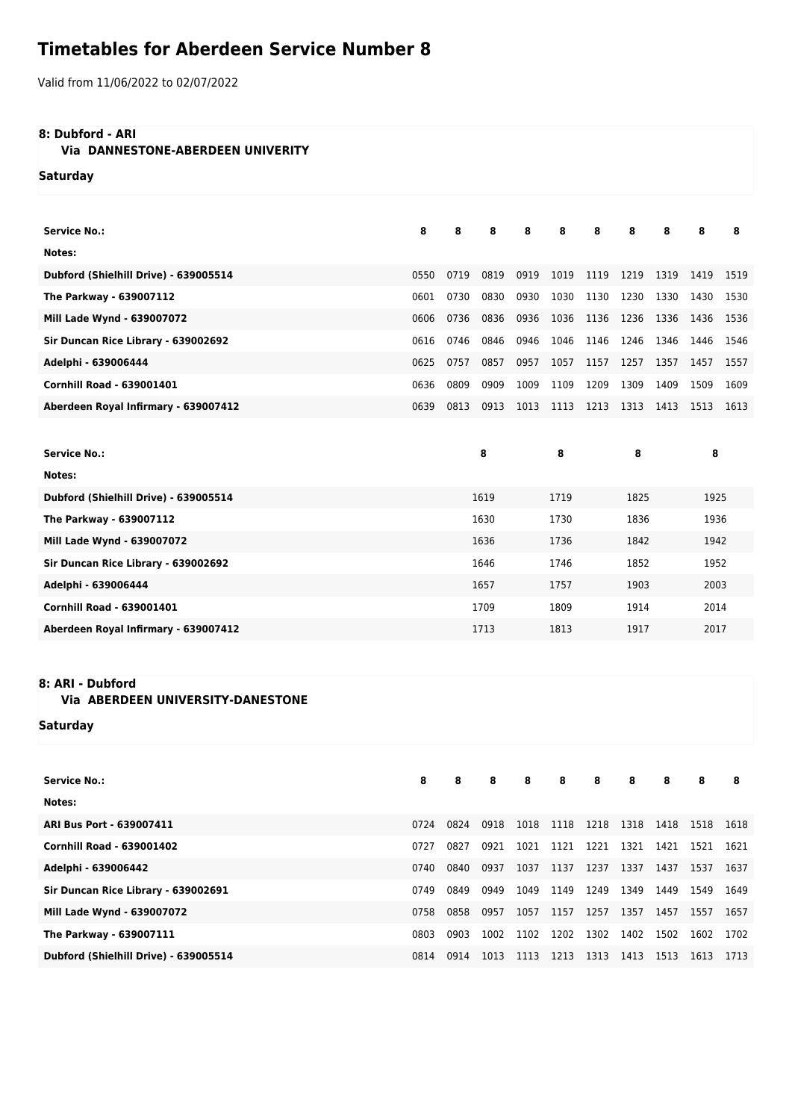# **Timetables for Aberdeen Service Number 8**

Valid from 11/06/2022 to 02/07/2022

## **8: Dubford - ARI**

# **Via DANNESTONE-ABERDEEN UNIVERITY**

**Saturday**

| <b>Service No.:</b>                   | 8    | 8    | 8    | 8    | 8    | 8    | 8    | 8    | 8    | 8    |
|---------------------------------------|------|------|------|------|------|------|------|------|------|------|
| Notes:                                |      |      |      |      |      |      |      |      |      |      |
| Dubford (Shielhill Drive) - 639005514 | 0550 | 0719 | 0819 | 0919 | 1019 | 1119 | 1219 | 1319 | 1419 | 1519 |
| The Parkway - 639007112               | 0601 | 0730 | 0830 | 0930 | 1030 | 1130 | 1230 | 1330 | 1430 | 1530 |
| Mill Lade Wynd - 639007072            | 0606 | 0736 | 0836 | 0936 | 1036 | 1136 | 1236 | 1336 | 1436 | 1536 |
| Sir Duncan Rice Library - 639002692   | 0616 | 0746 | 0846 | 0946 | 1046 | 1146 | 1246 | 1346 | 1446 | 1546 |
| Adelphi - 639006444                   | 0625 | 0757 | 0857 | 0957 | 1057 | 1157 | 1257 | 1357 | 1457 | 1557 |
| <b>Cornhill Road - 639001401</b>      | 0636 | 0809 | 0909 | 1009 | 1109 | 1209 | 1309 | 1409 | 1509 | 1609 |
| Aberdeen Royal Infirmary - 639007412  | 0639 | 0813 | 0913 | 1013 | 1113 | 1213 | 1313 | 1413 | 1513 | 1613 |
|                                       |      |      |      |      |      |      |      |      |      |      |
| <b>Service No.:</b>                   |      |      | 8    |      | 8    |      | 8    |      | 8    |      |
| Notes:                                |      |      |      |      |      |      |      |      |      |      |
| Dubford (Shielhill Drive) - 639005514 |      |      | 1619 |      | 1719 |      | 1825 |      | 1925 |      |
| The Parkway - 639007112               |      |      | 1630 |      | 1730 |      | 1836 |      | 1936 |      |
| Mill Lade Wynd - 639007072            |      |      | 1636 |      | 1736 |      | 1842 |      | 1942 |      |
| Sir Duncan Rice Library - 639002692   |      | 1646 |      |      | 1746 |      | 1852 |      | 1952 |      |
| Adelphi - 639006444                   | 1657 |      |      | 1757 |      | 1903 |      |      | 2003 |      |
| <b>Cornhill Road - 639001401</b>      |      |      | 1709 |      | 1809 |      | 1914 |      | 2014 |      |
| Aberdeen Royal Infirmary - 639007412  |      |      | 1713 |      | 1813 |      | 1917 |      | 2017 |      |

#### **8: ARI - Dubford**

## **Via ABERDEEN UNIVERSITY-DANESTONE**

**Saturday**

| <b>Service No.:</b>                   | 8    | 8    | 8    | 8    | 8         | 8    | 8    | 8    | 8    | 8    |
|---------------------------------------|------|------|------|------|-----------|------|------|------|------|------|
| Notes:                                |      |      |      |      |           |      |      |      |      |      |
| ARI Bus Port - 639007411              | 0724 | 0824 | 0918 | 1018 | 1118 1218 |      | 1318 | 1418 | 1518 | 1618 |
| <b>Cornhill Road - 639001402</b>      | 0727 | 0827 | 0921 | 1021 | 1121 1221 |      | 1321 | 1421 | 1521 | 1621 |
| Adelphi - 639006442                   | 0740 | 0840 | 0937 | 1037 | 1137      | 1237 | 1337 | 1437 | 1537 | 1637 |
| Sir Duncan Rice Library - 639002691   | 0749 | 0849 | 0949 | 1049 | 1149      | 1249 | 1349 | 1449 | 1549 | 1649 |
| Mill Lade Wynd - 639007072            | 0758 | 0858 | 0957 | 1057 | 1157      | 1257 | 1357 | 1457 | 1557 | 1657 |
| The Parkway - 639007111               | 0803 | 0903 | 1002 | 1102 | 1202      | 1302 | 1402 | 1502 | 1602 | 1702 |
| Dubford (Shielhill Drive) - 639005514 | 0814 | 0914 | 1013 | 1113 | 1213      | 1313 | 1413 | 1513 | 1613 | 1713 |